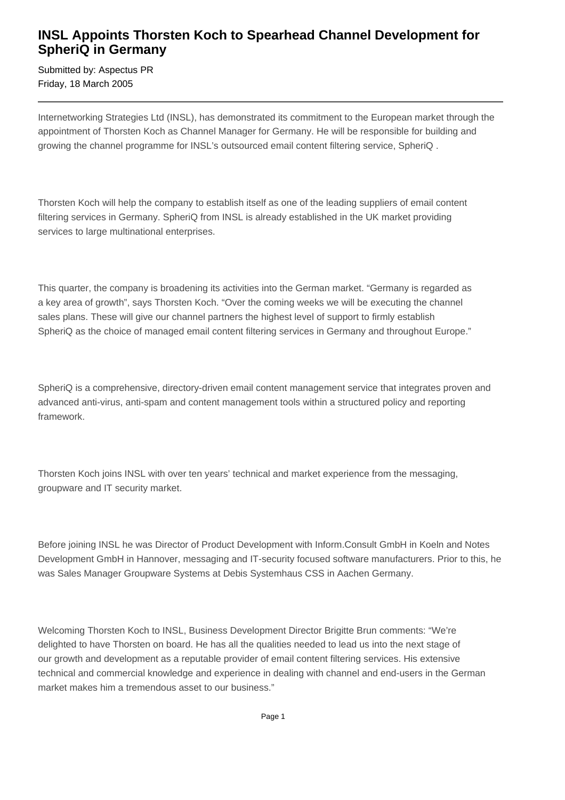## **INSL Appoints Thorsten Koch to Spearhead Channel Development for SpheriQ in Germany**

Submitted by: Aspectus PR Friday, 18 March 2005

Internetworking Strategies Ltd (INSL), has demonstrated its commitment to the European market through the appointment of Thorsten Koch as Channel Manager for Germany. He will be responsible for building and growing the channel programme for INSL's outsourced email content filtering service, SpheriQ .

Thorsten Koch will help the company to establish itself as one of the leading suppliers of email content filtering services in Germany. SpheriQ from INSL is already established in the UK market providing services to large multinational enterprises.

This quarter, the company is broadening its activities into the German market. "Germany is regarded as a key area of growth", says Thorsten Koch. "Over the coming weeks we will be executing the channel sales plans. These will give our channel partners the highest level of support to firmly establish SpheriQ as the choice of managed email content filtering services in Germany and throughout Europe."

SpheriQ is a comprehensive, directory-driven email content management service that integrates proven and advanced anti-virus, anti-spam and content management tools within a structured policy and reporting framework.

Thorsten Koch joins INSL with over ten years' technical and market experience from the messaging, groupware and IT security market.

Before joining INSL he was Director of Product Development with Inform.Consult GmbH in Koeln and Notes Development GmbH in Hannover, messaging and IT-security focused software manufacturers. Prior to this, he was Sales Manager Groupware Systems at Debis Systemhaus CSS in Aachen Germany.

Welcoming Thorsten Koch to INSL, Business Development Director Brigitte Brun comments: "We're delighted to have Thorsten on board. He has all the qualities needed to lead us into the next stage of our growth and development as a reputable provider of email content filtering services. His extensive technical and commercial knowledge and experience in dealing with channel and end-users in the German market makes him a tremendous asset to our business."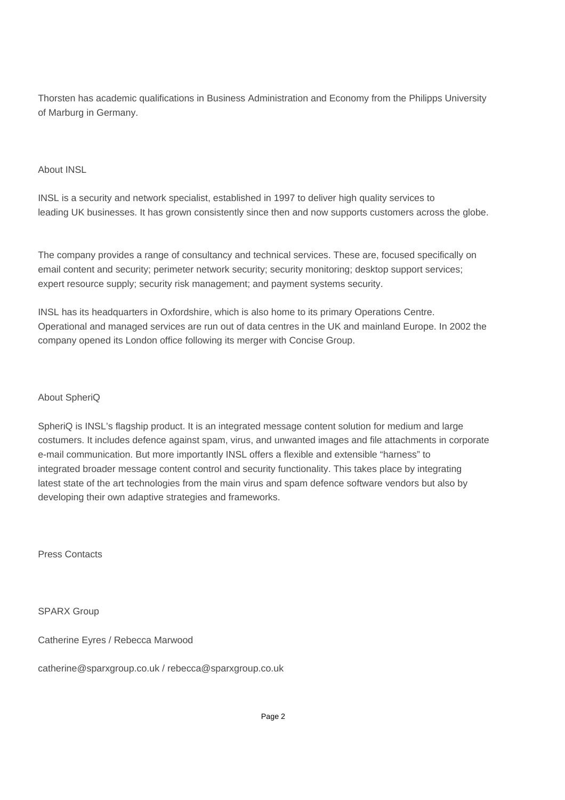Thorsten has academic qualifications in Business Administration and Economy from the Philipps University of Marburg in Germany.

## About INSL

INSL is a security and network specialist, established in 1997 to deliver high quality services to leading UK businesses. It has grown consistently since then and now supports customers across the globe.

The company provides a range of consultancy and technical services. These are, focused specifically on email content and security; perimeter network security; security monitoring; desktop support services; expert resource supply; security risk management; and payment systems security.

INSL has its headquarters in Oxfordshire, which is also home to its primary Operations Centre. Operational and managed services are run out of data centres in the UK and mainland Europe. In 2002 the company opened its London office following its merger with Concise Group.

## About SpheriQ

SpheriQ is INSL's flagship product. It is an integrated message content solution for medium and large costumers. It includes defence against spam, virus, and unwanted images and file attachments in corporate e-mail communication. But more importantly INSL offers a flexible and extensible "harness" to integrated broader message content control and security functionality. This takes place by integrating latest state of the art technologies from the main virus and spam defence software vendors but also by developing their own adaptive strategies and frameworks.

Press Contacts

SPARX Group

Catherine Eyres / Rebecca Marwood

catherine@sparxgroup.co.uk / rebecca@sparxgroup.co.uk